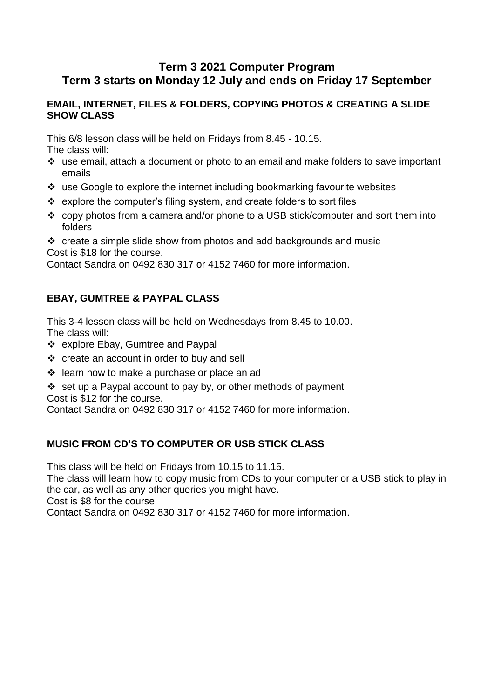# **Term 3 2021 Computer Program Term 3 starts on Monday 12 July and ends on Friday 17 September**

#### **EMAIL, INTERNET, FILES & FOLDERS, COPYING PHOTOS & CREATING A SLIDE SHOW CLASS**

This 6/8 lesson class will be held on Fridays from 8.45 - 10.15.

The class will:

- use email, attach a document or photo to an email and make folders to save important emails
- use Google to explore the internet including bookmarking favourite websites
- $\triangleleft$  explore the computer's filing system, and create folders to sort files
- copy photos from a camera and/or phone to a USB stick/computer and sort them into folders
- $\cdot \cdot$  create a simple slide show from photos and add backgrounds and music Cost is \$18 for the course.

Contact Sandra on 0492 830 317 or 4152 7460 for more information.

### **EBAY, GUMTREE & PAYPAL CLASS**

This 3-4 lesson class will be held on Wednesdays from 8.45 to 10.00. The class will:

- ❖ explore Ebay, Gumtree and Paypal
- create an account in order to buy and sell
- $\div$  learn how to make a purchase or place an ad
- $\div$  set up a Paypal account to pay by, or other methods of payment Cost is \$12 for the course.

Contact Sandra on 0492 830 317 or 4152 7460 for more information.

# **MUSIC FROM CD'S TO COMPUTER OR USB STICK CLASS**

This class will be held on Fridays from 10.15 to 11.15.

The class will learn how to copy music from CDs to your computer or a USB stick to play in the car, as well as any other queries you might have.

Cost is \$8 for the course

Contact Sandra on 0492 830 317 or 4152 7460 for more information.